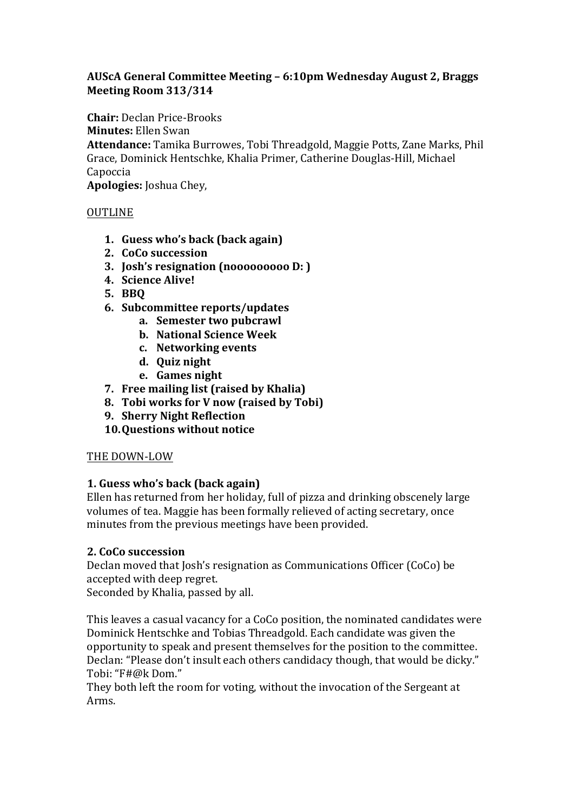## AUScA General Committee Meeting – 6:10pm Wednesday August 2, Braggs **Meeting Room 313/314**

**Chair:** Declan Price-Brooks

**Minutes:** Ellen Swan

Attendance: Tamika Burrowes, Tobi Threadgold, Maggie Potts, Zane Marks, Phil Grace, Dominick Hentschke, Khalia Primer, Catherine Douglas-Hill, Michael Capoccia Apologies: Joshua Chey,

OUTLINE

- **1. Guess who's back (back again)**
- **2. CoCo succession**
- **3. Josh's resignation** (nooooooooo D: )
- **4. Science Alive!**
- **5. BBQ**
- **6. Subcommittee reports/updates**
	- **a.** Semester two pubcrawl
	- **b. National Science Week**
	- **c. Networking events**
	- **d. Quiz night**
	- **e. Games night**
- **7.** Free mailing list (raised by Khalia)
- **8. Tobi** works for V now (raised by Tobi)
- **9. Sherry Night Reflection**
- **10.Questions without notice**

## THE DOWN-LOW

## **1. Guess who's back (back again)**

Ellen has returned from her holiday, full of pizza and drinking obscenely large volumes of tea. Maggie has been formally relieved of acting secretary, once minutes from the previous meetings have been provided.

## **2. CoCo succession**

Declan moved that Josh's resignation as Communications Officer (CoCo) be accepted with deep regret.

Seconded by Khalia, passed by all.

This leaves a casual vacancy for a CoCo position, the nominated candidates were Dominick Hentschke and Tobias Threadgold. Each candidate was given the opportunity to speak and present themselves for the position to the committee. Declan: "Please don't insult each others candidacy though, that would be dicky." Tobi: "F#@k Dom."

They both left the room for voting, without the invocation of the Sergeant at Arms.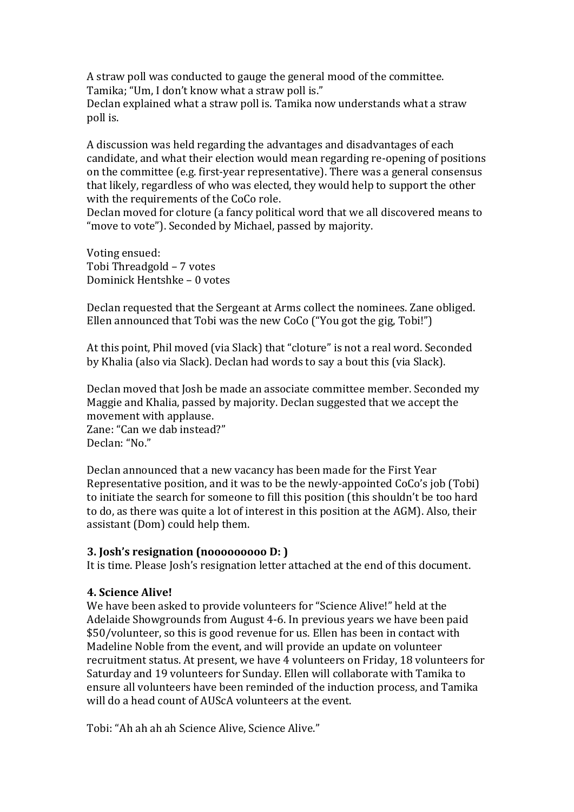A straw poll was conducted to gauge the general mood of the committee. Tamika; "Um, I don't know what a straw poll is." Declan explained what a straw poll is. Tamika now understands what a straw poll is.

A discussion was held regarding the advantages and disadvantages of each candidate, and what their election would mean regarding re-opening of positions on the committee (e.g. first-year representative). There was a general consensus that likely, regardless of who was elected, they would help to support the other with the requirements of the CoCo role.

Declan moved for cloture (a fancy political word that we all discovered means to "move to vote"). Seconded by Michael, passed by majority.

Voting ensued: Tobi Threadgold – 7 votes Dominick Hentshke - 0 votes

Declan requested that the Sergeant at Arms collect the nominees. Zane obliged. Ellen announced that Tobi was the new CoCo ("You got the gig, Tobi!")

At this point, Phil moved (via Slack) that "cloture" is not a real word. Seconded by Khalia (also via Slack). Declan had words to say a bout this (via Slack).

Declan moved that Josh be made an associate committee member. Seconded my Maggie and Khalia, passed by majority. Declan suggested that we accept the movement with applause.

Zane: "Can we dab instead?" Declan: "No."

Declan announced that a new vacancy has been made for the First Year Representative position, and it was to be the newly-appointed CoCo's job (Tobi) to initiate the search for someone to fill this position (this shouldn't be too hard to do, as there was quite a lot of interest in this position at the AGM). Also, their assistant (Dom) could help them.

#### **3.** Josh's resignation (nooooooooo D: )

It is time. Please Josh's resignation letter attached at the end of this document.

### **4. Science Alive!**

We have been asked to provide volunteers for "Science Alive!" held at the Adelaide Showgrounds from August 4-6. In previous vears we have been paid \$50/volunteer, so this is good revenue for us. Ellen has been in contact with Madeline Noble from the event, and will provide an update on volunteer recruitment status. At present, we have 4 volunteers on Friday, 18 volunteers for Saturday and 19 volunteers for Sunday. Ellen will collaborate with Tamika to ensure all volunteers have been reminded of the induction process, and Tamika will do a head count of AUScA volunteers at the event.

Tobi: "Ah ah ah ah Science Alive. Science Alive."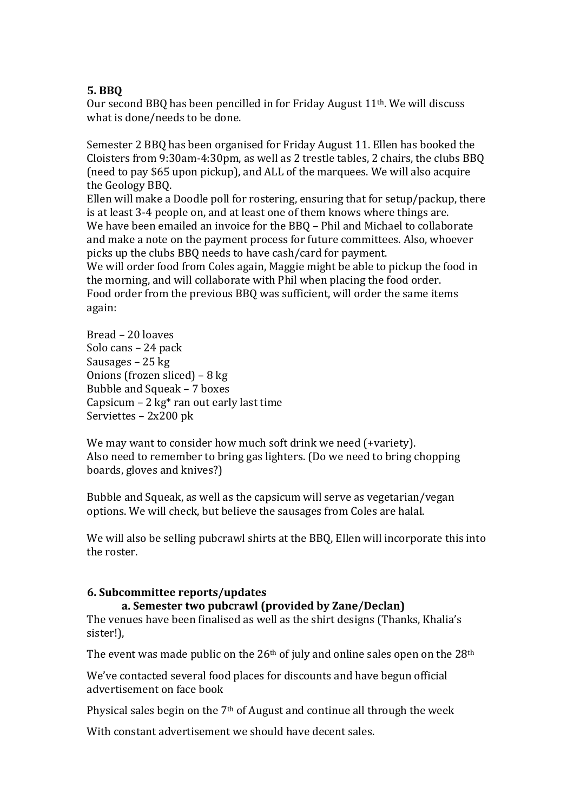## **5. BBQ**

Our second BBQ has been pencilled in for Friday August  $11<sup>th</sup>$ . We will discuss what is done/needs to be done.

Semester 2 BBQ has been organised for Friday August 11. Ellen has booked the Cloisters from 9:30am-4:30pm, as well as 2 trestle tables, 2 chairs, the clubs BBO (need to pay \$65 upon pickup), and ALL of the marquees. We will also acquire the Geology BBO.

Ellen will make a Doodle poll for rostering, ensuring that for setup/packup, there is at least 3-4 people on, and at least one of them knows where things are. We have been emailed an invoice for the BBQ – Phil and Michael to collaborate and make a note on the payment process for future committees. Also, whoever picks up the clubs BBQ needs to have cash/card for payment.

We will order food from Coles again, Maggie might be able to pickup the food in the morning, and will collaborate with Phil when placing the food order. Food order from the previous BBQ was sufficient, will order the same items again:

Bread – 20 loaves Solo cans – 24 pack Sausages  $-25$  kg Onions (frozen sliced) –  $8 \text{ kg}$ Bubble and Squeak - 7 boxes Capsicum – 2  $kg*$  ran out early last time Serviettes - 2x200 pk

We may want to consider how much soft drink we need (+variety). Also need to remember to bring gas lighters. (Do we need to bring chopping boards, gloves and knives?)

Bubble and Squeak, as well as the capsicum will serve as vegetarian/vegan options. We will check, but believe the sausages from Coles are halal.

We will also be selling pubcrawl shirts at the BBO, Ellen will incorporate this into the roster.

### **6. Subcommittee reports/updates**

## a. Semester two pubcrawl (provided by Zane/Declan)

The venues have been finalised as well as the shirt designs (Thanks, Khalia's sister!),

The event was made public on the  $26<sup>th</sup>$  of july and online sales open on the  $28<sup>th</sup>$ 

We've contacted several food places for discounts and have begun official advertisement on face book

Physical sales begin on the  $7<sup>th</sup>$  of August and continue all through the week

With constant advertisement we should have decent sales.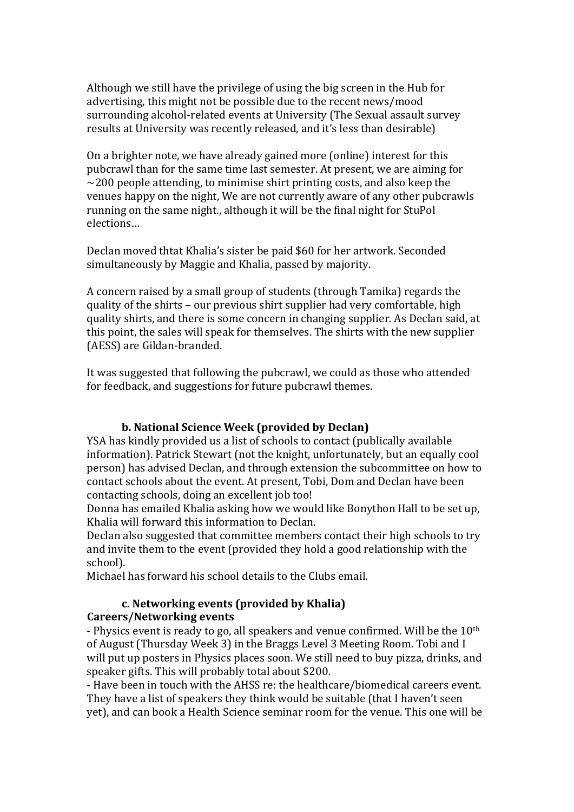Although we still have the privilege of using the big screen in the Hub for advertising, this might not be possible due to the recent news/mood surrounding alcohol-related events at University (The Sexual assault survey results at University was recently released, and it's less than desirable)

On a brighter note, we have already gained more (online) interest for this pubcrawl than for the same time last semester. At present, we are aiming for  $\sim$ 200 people attending, to minimise shirt printing costs, and also keep the venues happy on the night, We are not currently aware of any other pubcrawls running on the same night., although it will be the final night for StuPol elections…

Declan moved thtat Khalia's sister be paid \$60 for her artwork. Seconded simultaneously by Maggie and Khalia, passed by majority.

A concern raised by a small group of students (through Tamika) regards the quality of the shirts – our previous shirt supplier had very comfortable, high quality shirts, and there is some concern in changing supplier. As Declan said, at this point, the sales will speak for themselves. The shirts with the new supplier (AESS) are Gildan-branded.

It was suggested that following the pubcrawl, we could as those who attended for feedback, and suggestions for future pubcrawl themes.

## **b.** National Science Week (provided by Declan)

YSA has kindly provided us a list of schools to contact (publically available information). Patrick Stewart (not the knight, unfortunately, but an equally cool person) has advised Declan, and through extension the subcommittee on how to contact schools about the event. At present, Tobi, Dom and Declan have been contacting schools, doing an excellent job too!

Donna has emailed Khalia asking how we would like Bonython Hall to be set up, Khalia will forward this information to Declan.

Declan also suggested that committee members contact their high schools to try and invite them to the event (provided they hold a good relationship with the school).

Michael has forward his school details to the Clubs email.

## **c. Networking events (provided by Khalia) Careers/Networking events**

- Physics event is ready to go, all speakers and venue confirmed. Will be the  $10<sup>th</sup>$ of August (Thursday Week 3) in the Braggs Level 3 Meeting Room. Tobi and I will put up posters in Physics places soon. We still need to buy pizza, drinks, and speaker gifts. This will probably total about \$200.

- Have been in touch with the AHSS re: the healthcare/biomedical careers event. They have a list of speakers they think would be suitable (that I haven't seen yet), and can book a Health Science seminar room for the venue. This one will be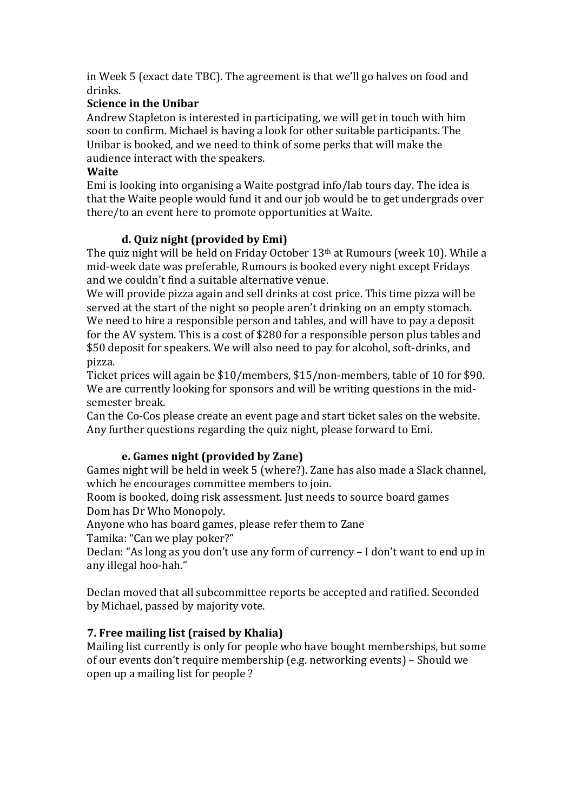in Week 5 (exact date TBC). The agreement is that we'll go halves on food and drinks. 

# **Science in the Unibar**

Andrew Stapleton is interested in participating, we will get in touch with him soon to confirm. Michael is having a look for other suitable participants. The Unibar is booked, and we need to think of some perks that will make the audience interact with the speakers.

## **Waite**

Emi is looking into organising a Waite postgrad info/lab tours day. The idea is that the Waite people would fund it and our job would be to get undergrads over there/to an event here to promote opportunities at Waite.

# **d. Quiz night (provided by Emi)**

The quiz night will be held on Friday October  $13<sup>th</sup>$  at Rumours (week 10). While a mid-week date was preferable, Rumours is booked every night except Fridays and we couldn't find a suitable alternative venue.

We will provide pizza again and sell drinks at cost price. This time pizza will be served at the start of the night so people aren't drinking on an empty stomach. We need to hire a responsible person and tables, and will have to pay a deposit for the AV system. This is a cost of \$280 for a responsible person plus tables and \$50 deposit for speakers. We will also need to pay for alcohol, soft-drinks, and pizza.

Ticket prices will again be \$10/members, \$15/non-members, table of 10 for \$90. We are currently looking for sponsors and will be writing questions in the midsemester break.

Can the Co-Cos please create an event page and start ticket sales on the website. Any further questions regarding the quiz night, please forward to Emi.

## **e.** Games night (provided by Zane)

Games night will be held in week 5 (where?). Zane has also made a Slack channel, which he encourages committee members to join.

Room is booked, doing risk assessment. Just needs to source board games Dom has Dr Who Monopoly.

Anyone who has board games, please refer them to Zane Tamika: "Can we play poker?"

Declan: "As long as you don't use any form of currency – I don't want to end up in any illegal hoo-hah."

Declan moved that all subcommittee reports be accepted and ratified. Seconded by Michael, passed by majority vote.

## **7.** Free mailing list (raised by Khalia)

Mailing list currently is only for people who have bought memberships, but some of our events don't require membership (e.g. networking events) – Should we open up a mailing list for people?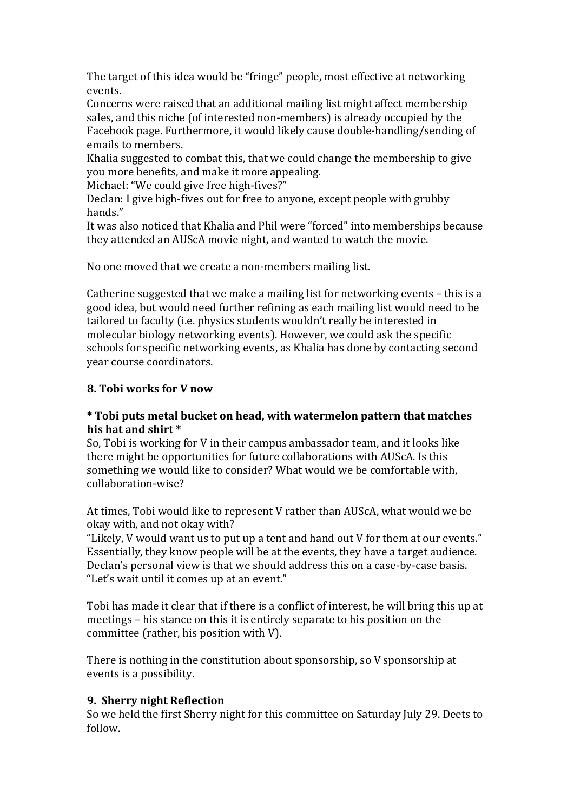The target of this idea would be "fringe" people, most effective at networking events.

Concerns were raised that an additional mailing list might affect membership sales, and this niche (of interested non-members) is already occupied by the Facebook page. Furthermore, it would likely cause double-handling/sending of emails to members.

Khalia suggested to combat this, that we could change the membership to give you more benefits, and make it more appealing.

Michael: "We could give free high-fives?"

Declan: I give high-fives out for free to anyone, except people with grubby hands."

It was also noticed that Khalia and Phil were "forced" into memberships because they attended an AUScA movie night, and wanted to watch the movie.

No one moved that we create a non-members mailing list.

Catherine suggested that we make a mailing list for networking events  $-$  this is a good idea, but would need further refining as each mailing list would need to be tailored to faculty (i.e. physics students wouldn't really be interested in molecular biology networking events). However, we could ask the specific schools for specific networking events, as Khalia has done by contacting second year course coordinators.

## **8.** Tobi works for V now

## **\* Tobi puts metal bucket on head, with watermelon pattern that matches**  his hat and shirt  $*$

So, Tobi is working for V in their campus ambassador team, and it looks like there might be opportunities for future collaborations with AUScA. Is this something we would like to consider? What would we be comfortable with, collaboration-wise?

At times, Tobi would like to represent V rather than AUScA, what would we be okay with, and not okay with?

"Likely, V would want us to put up a tent and hand out V for them at our events." Essentially, they know people will be at the events, they have a target audience. Declan's personal view is that we should address this on a case-by-case basis. "Let's wait until it comes up at an event."

Tobi has made it clear that if there is a conflict of interest, he will bring this up at meetings – his stance on this it is entirely separate to his position on the committee (rather, his position with  $V$ ).

There is nothing in the constitution about sponsorship, so  $V$  sponsorship at events is a possibility.

## **9. Sherry night Reflection**

So we held the first Sherry night for this committee on Saturday July 29. Deets to follow.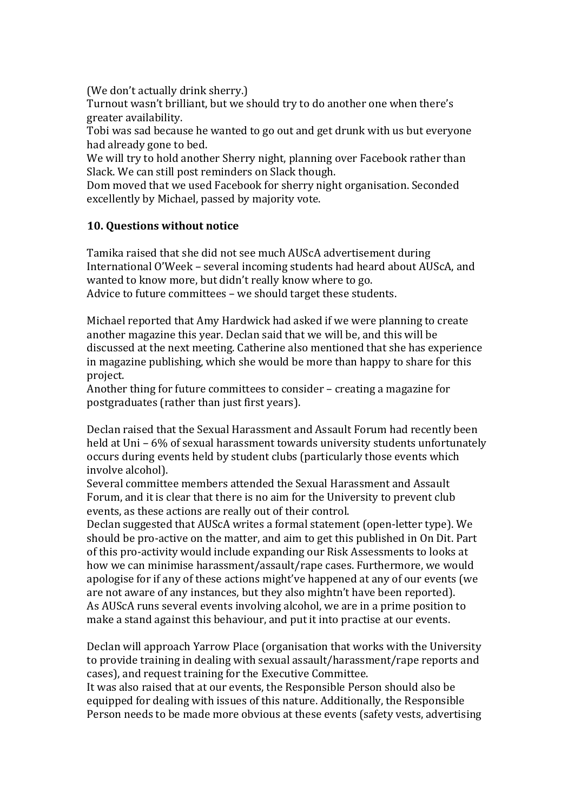(We don't actually drink sherry.)

Turnout wasn't brilliant, but we should try to do another one when there's greater availability.

Tobi was sad because he wanted to go out and get drunk with us but everyone had already gone to bed.

We will try to hold another Sherry night, planning over Facebook rather than Slack. We can still post reminders on Slack though.

Dom moved that we used Facebook for sherry night organisation. Seconded excellently by Michael, passed by majority vote.

## **10. Questions without notice**

Tamika raised that she did not see much AUScA advertisement during International O'Week – several incoming students had heard about AUScA, and wanted to know more, but didn't really know where to go.

Advice to future committees - we should target these students.

Michael reported that Amy Hardwick had asked if we were planning to create another magazine this year. Declan said that we will be, and this will be discussed at the next meeting. Catherine also mentioned that she has experience in magazine publishing, which she would be more than happy to share for this project.

Another thing for future committees to consider – creating a magazine for postgraduates (rather than just first years).

Declan raised that the Sexual Harassment and Assault Forum had recently been held at Uni –  $6\%$  of sexual harassment towards university students unfortunately occurs during events held by student clubs (particularly those events which involve alcohol).

Several committee members attended the Sexual Harassment and Assault Forum, and it is clear that there is no aim for the University to prevent club events, as these actions are really out of their control.

Declan suggested that AUScA writes a formal statement (open-letter type). We should be pro-active on the matter, and aim to get this published in On Dit. Part of this pro-activity would include expanding our Risk Assessments to looks at how we can minimise harassment/assault/rape cases. Furthermore, we would apologise for if any of these actions might've happened at any of our events (we are not aware of any instances, but they also mightn't have been reported). As AUScA runs several events involving alcohol, we are in a prime position to make a stand against this behaviour, and put it into practise at our events.

Declan will approach Yarrow Place (organisation that works with the University to provide training in dealing with sexual assault/harassment/rape reports and cases), and request training for the Executive Committee.

It was also raised that at our events, the Responsible Person should also be equipped for dealing with issues of this nature. Additionally, the Responsible Person needs to be made more obvious at these events (safety vests, advertising